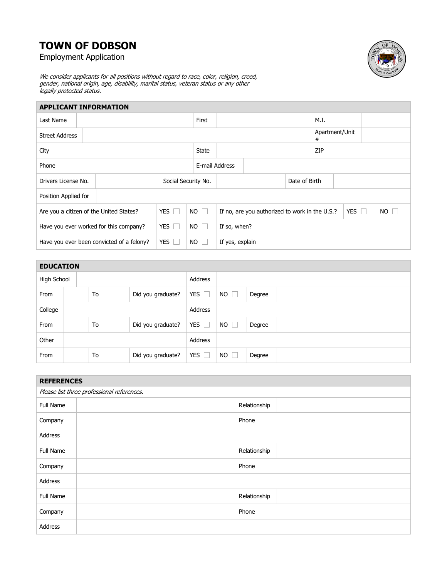## **TOWN OF DOBSON**

Employment Application



We consider applicants for all positions without regard to race, color, religion, creed, gender, national origin, age, disability, marital status, veteran status or any other legally protected status.

| <b>APPLICANT INFORMATION</b>                          |  |  |              |                     |                |                                 |      |                     |               |                                                |            |
|-------------------------------------------------------|--|--|--------------|---------------------|----------------|---------------------------------|------|---------------------|---------------|------------------------------------------------|------------|
|                                                       |  |  | First        |                     |                |                                 | M.I. |                     |               |                                                |            |
| <b>Street Address</b>                                 |  |  |              |                     |                |                                 |      | Apartment/Unit<br># |               |                                                |            |
|                                                       |  |  | <b>State</b> |                     |                |                                 | ZIP  |                     |               |                                                |            |
|                                                       |  |  |              |                     |                |                                 |      |                     |               |                                                |            |
| Drivers License No.                                   |  |  |              |                     |                |                                 |      |                     |               |                                                |            |
| Position Applied for                                  |  |  |              |                     |                |                                 |      |                     |               |                                                |            |
| YES $\Box$<br>Are you a citizen of the United States? |  |  | $NO \Box$    |                     |                |                                 |      |                     |               | $NO$ $\Box$                                    |            |
| YES $\Box$<br>Have you ever worked for this company?  |  |  | $NO$ $\Box$  |                     |                |                                 |      |                     |               |                                                |            |
| Have you ever been convicted of a felony?             |  |  | $NO$ $\Box$  |                     |                |                                 |      |                     |               |                                                |            |
|                                                       |  |  | YES $\Box$   | Social Security No. | E-mail Address | If so, when?<br>If yes, explain |      |                     | Date of Birth | If no, are you authorized to work in the U.S.? | YES $\Box$ |

| <b>EDUCATION</b> |    |                   |               |                     |        |
|------------------|----|-------------------|---------------|---------------------|--------|
| High School      |    |                   | Address       |                     |        |
| From             | To | Did you graduate? | YES $\Box$    | NO.<br>$\Box$       | Degree |
| College          |    |                   | Address       |                     |        |
| From             | To | Did you graduate? | YES $\Box$    | NO.<br>$\mathbb{L}$ | Degree |
| Other            |    |                   | Address       |                     |        |
| From             | To | Did you graduate? | YES $\square$ | $NO$ $\Box$         | Degree |

| <b>REFERENCES</b>                          |              |  |  |  |  |
|--------------------------------------------|--------------|--|--|--|--|
| Please list three professional references. |              |  |  |  |  |
| Full Name                                  | Relationship |  |  |  |  |
| Company                                    | Phone        |  |  |  |  |
| Address                                    |              |  |  |  |  |
| Full Name                                  | Relationship |  |  |  |  |
| Company                                    | Phone        |  |  |  |  |
| Address                                    |              |  |  |  |  |
| Full Name                                  | Relationship |  |  |  |  |
| Company                                    | Phone        |  |  |  |  |
| Address                                    |              |  |  |  |  |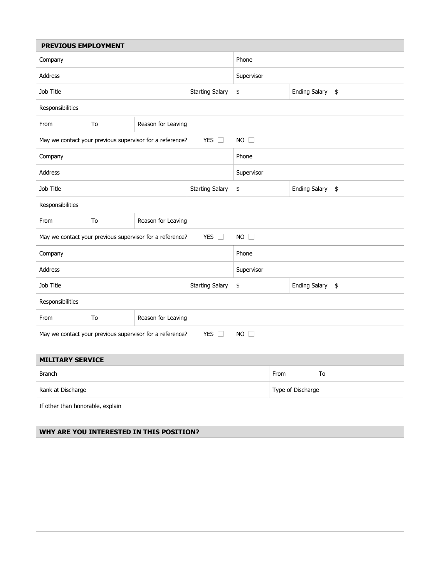| PREVIOUS EMPLOYMENT                                                                   |    |                                                          |                        |                                               |                            |  |  |  |
|---------------------------------------------------------------------------------------|----|----------------------------------------------------------|------------------------|-----------------------------------------------|----------------------------|--|--|--|
| Company                                                                               |    |                                                          |                        | Phone                                         |                            |  |  |  |
| Address                                                                               |    |                                                          |                        | Supervisor                                    |                            |  |  |  |
| Job Title                                                                             |    |                                                          | <b>Starting Salary</b> | \$                                            | <b>Ending Salary</b><br>\$ |  |  |  |
| Responsibilities                                                                      |    |                                                          |                        |                                               |                            |  |  |  |
| From                                                                                  | To | Reason for Leaving                                       |                        |                                               |                            |  |  |  |
| <b>YES</b><br>$\Box$<br>May we contact your previous supervisor for a reference?      |    |                                                          |                        | $NO$ $\Box$                                   |                            |  |  |  |
| Company                                                                               |    |                                                          | Phone                  |                                               |                            |  |  |  |
| Address                                                                               |    |                                                          |                        | Supervisor                                    |                            |  |  |  |
| Job Title<br><b>Starting Salary</b>                                                   |    |                                                          | \$                     | <b>Ending Salary</b><br>$\pmb{\mathfrak{\$}}$ |                            |  |  |  |
| Responsibilities                                                                      |    |                                                          |                        |                                               |                            |  |  |  |
| From                                                                                  | To | Reason for Leaving                                       |                        |                                               |                            |  |  |  |
|                                                                                       |    | May we contact your previous supervisor for a reference? | $NO$ $\Box$            |                                               |                            |  |  |  |
| Company                                                                               |    |                                                          | Phone                  |                                               |                            |  |  |  |
| <b>Address</b>                                                                        |    |                                                          | Supervisor             |                                               |                            |  |  |  |
| Job Title                                                                             |    |                                                          | <b>Starting Salary</b> | \$                                            | Ending Salary \$           |  |  |  |
| Responsibilities                                                                      |    |                                                          |                        |                                               |                            |  |  |  |
| From                                                                                  | To | Reason for Leaving                                       |                        |                                               |                            |  |  |  |
| May we contact your previous supervisor for a reference?<br>YES $\Box$<br>$NO$ $\Box$ |    |                                                          |                        |                                               |                            |  |  |  |

| <b>MILITARY SERVICE</b>          |                   |
|----------------------------------|-------------------|
| <b>Branch</b>                    | From<br>To        |
| Rank at Discharge                | Type of Discharge |
| If other than honorable, explain |                   |

| WHY ARE YOU INTERESTED IN THIS POSITION? |  |
|------------------------------------------|--|
|                                          |  |